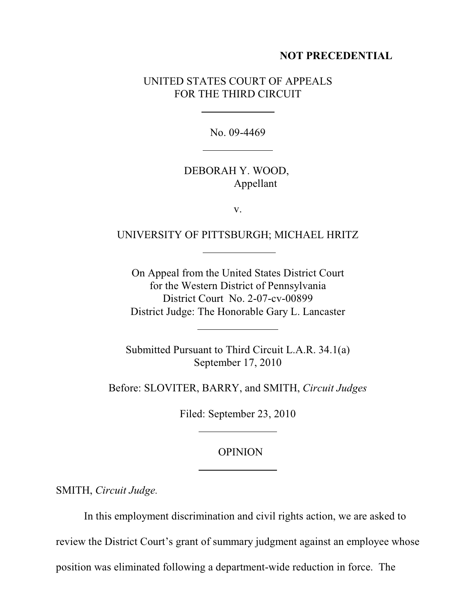#### **NOT PRECEDENTIAL**

# UNITED STATES COURT OF APPEALS FOR THE THIRD CIRCUIT

 $\overline{a}$ 

 $\overline{a}$ 

No. 09-4469

## DEBORAH Y. WOOD, Appellant

v.

### UNIVERSITY OF PITTSBURGH; MICHAEL HRITZ

On Appeal from the United States District Court for the Western District of Pennsylvania District Court No. 2-07-cv-00899 District Judge: The Honorable Gary L. Lancaster

Submitted Pursuant to Third Circuit L.A.R. 34.1(a) September 17, 2010

Before: SLOVITER, BARRY, and SMITH, *Circuit Judges*

Filed: September 23, 2010

#### OPINION

SMITH, *Circuit Judge.*

In this employment discrimination and civil rights action, we are asked to

review the District Court's grant of summary judgment against an employee whose

position was eliminated following a department-wide reduction in force. The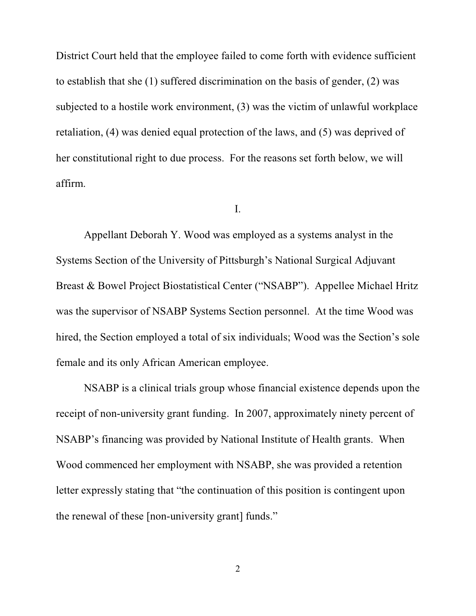District Court held that the employee failed to come forth with evidence sufficient to establish that she (1) suffered discrimination on the basis of gender, (2) was subjected to a hostile work environment, (3) was the victim of unlawful workplace retaliation, (4) was denied equal protection of the laws, and (5) was deprived of her constitutional right to due process. For the reasons set forth below, we will affirm.

I.

Appellant Deborah Y. Wood was employed as a systems analyst in the Systems Section of the University of Pittsburgh's National Surgical Adjuvant Breast & Bowel Project Biostatistical Center ("NSABP"). Appellee Michael Hritz was the supervisor of NSABP Systems Section personnel. At the time Wood was hired, the Section employed a total of six individuals; Wood was the Section's sole female and its only African American employee.

NSABP is a clinical trials group whose financial existence depends upon the receipt of non-university grant funding. In 2007, approximately ninety percent of NSABP's financing was provided by National Institute of Health grants. When Wood commenced her employment with NSABP, she was provided a retention letter expressly stating that "the continuation of this position is contingent upon the renewal of these [non-university grant] funds."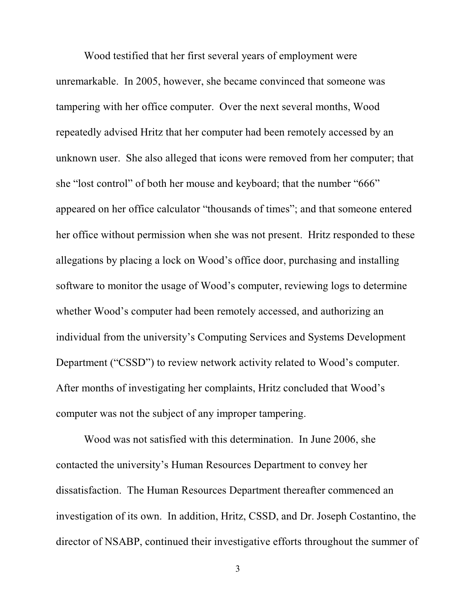Wood testified that her first several years of employment were unremarkable. In 2005, however, she became convinced that someone was tampering with her office computer. Over the next several months, Wood repeatedly advised Hritz that her computer had been remotely accessed by an unknown user. She also alleged that icons were removed from her computer; that she "lost control" of both her mouse and keyboard; that the number "666" appeared on her office calculator "thousands of times"; and that someone entered her office without permission when she was not present. Hritz responded to these allegations by placing a lock on Wood's office door, purchasing and installing software to monitor the usage of Wood's computer, reviewing logs to determine whether Wood's computer had been remotely accessed, and authorizing an individual from the university's Computing Services and Systems Development Department ("CSSD") to review network activity related to Wood's computer. After months of investigating her complaints, Hritz concluded that Wood's computer was not the subject of any improper tampering.

Wood was not satisfied with this determination. In June 2006, she contacted the university's Human Resources Department to convey her dissatisfaction. The Human Resources Department thereafter commenced an investigation of its own. In addition, Hritz, CSSD, and Dr. Joseph Costantino, the director of NSABP, continued their investigative efforts throughout the summer of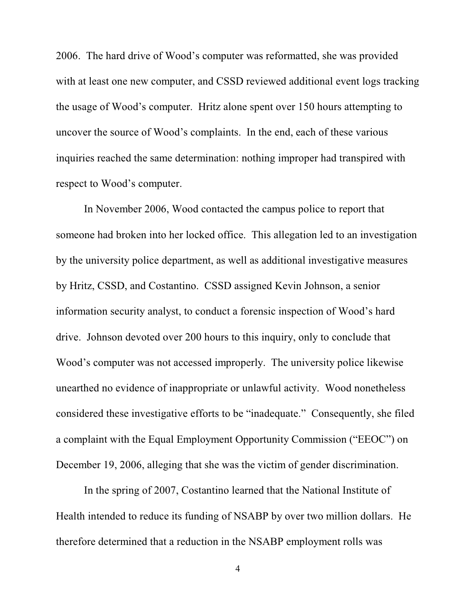2006. The hard drive of Wood's computer was reformatted, she was provided with at least one new computer, and CSSD reviewed additional event logs tracking the usage of Wood's computer. Hritz alone spent over 150 hours attempting to uncover the source of Wood's complaints. In the end, each of these various inquiries reached the same determination: nothing improper had transpired with respect to Wood's computer.

In November 2006, Wood contacted the campus police to report that someone had broken into her locked office. This allegation led to an investigation by the university police department, as well as additional investigative measures by Hritz, CSSD, and Costantino. CSSD assigned Kevin Johnson, a senior information security analyst, to conduct a forensic inspection of Wood's hard drive. Johnson devoted over 200 hours to this inquiry, only to conclude that Wood's computer was not accessed improperly. The university police likewise unearthed no evidence of inappropriate or unlawful activity. Wood nonetheless considered these investigative efforts to be "inadequate." Consequently, she filed a complaint with the Equal Employment Opportunity Commission ("EEOC") on December 19, 2006, alleging that she was the victim of gender discrimination.

In the spring of 2007, Costantino learned that the National Institute of Health intended to reduce its funding of NSABP by over two million dollars. He therefore determined that a reduction in the NSABP employment rolls was

4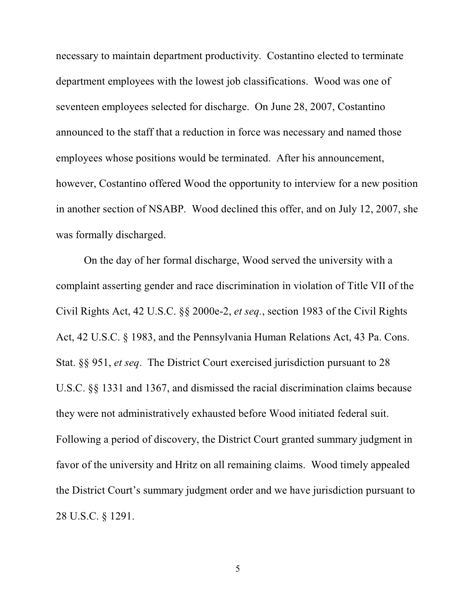necessary to maintain department productivity. Costantino elected to terminate department employees with the lowest job classifications. Wood was one of seventeen employees selected for discharge. On June 28, 2007, Costantino announced to the staff that a reduction in force was necessary and named those employees whose positions would be terminated. After his announcement, however, Costantino offered Wood the opportunity to interview for a new position in another section of NSABP. Wood declined this offer, and on July 12, 2007, she was formally discharged.

On the day of her formal discharge, Wood served the university with a complaint asserting gender and race discrimination in violation of Title VII of the Civil Rights Act, 42 U.S.C. §§ 2000e-2, *et seq.*, section 1983 of the Civil Rights Act, 42 U.S.C. § 1983, and the Pennsylvania Human Relations Act, 43 Pa. Cons. Stat. §§ 951, *et seq*. The District Court exercised jurisdiction pursuant to 28 U.S.C. §§ 1331 and 1367, and dismissed the racial discrimination claims because they were not administratively exhausted before Wood initiated federal suit. Following a period of discovery, the District Court granted summary judgment in favor of the university and Hritz on all remaining claims. Wood timely appealed the District Court's summary judgment order and we have jurisdiction pursuant to 28 U.S.C. § 1291.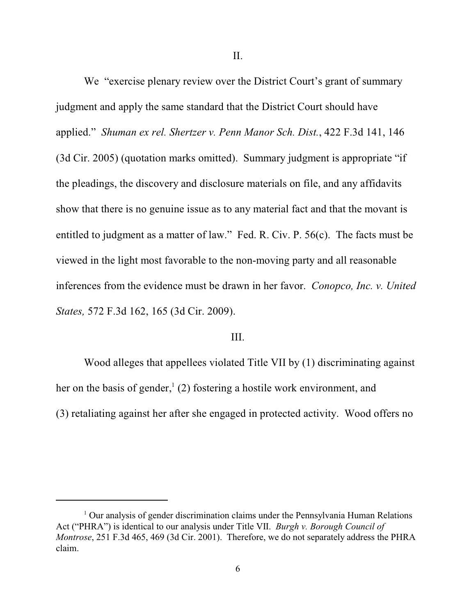II.

We "exercise plenary review over the District Court's grant of summary judgment and apply the same standard that the District Court should have applied." *Shuman ex rel. Shertzer v. Penn Manor Sch. Dist.*, 422 F.3d 141, 146 (3d Cir. 2005) (quotation marks omitted). Summary judgment is appropriate "if the pleadings, the discovery and disclosure materials on file, and any affidavits show that there is no genuine issue as to any material fact and that the movant is entitled to judgment as a matter of law." Fed. R. Civ. P. 56(c). The facts must be viewed in the light most favorable to the non-moving party and all reasonable inferences from the evidence must be drawn in her favor. *Conopco, Inc. v. United States,* 572 F.3d 162, 165 (3d Cir. 2009).

#### III.

Wood alleges that appellees violated Title VII by (1) discriminating against her on the basis of gender,  $(2)$  fostering a hostile work environment, and (3) retaliating against her after she engaged in protected activity. Wood offers no

 $1$  Our analysis of gender discrimination claims under the Pennsylvania Human Relations Act ("PHRA") is identical to our analysis under Title VII. *Burgh v. Borough Council of Montrose*, 251 F.3d 465, 469 (3d Cir. 2001). Therefore, we do not separately address the PHRA claim.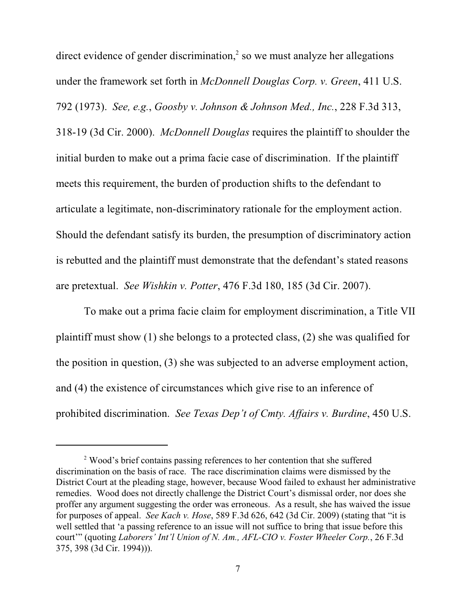direct evidence of gender discrimination, $\frac{2}{3}$  so we must analyze her allegations under the framework set forth in *McDonnell Douglas Corp. v. Green*, 411 U.S. 792 (1973). *See, e.g.*, *Goosby v. Johnson & Johnson Med., Inc.*, 228 F.3d 313, 318-19 (3d Cir. 2000). *McDonnell Douglas* requires the plaintiff to shoulder the initial burden to make out a prima facie case of discrimination. If the plaintiff meets this requirement, the burden of production shifts to the defendant to articulate a legitimate, non-discriminatory rationale for the employment action. Should the defendant satisfy its burden, the presumption of discriminatory action is rebutted and the plaintiff must demonstrate that the defendant's stated reasons are pretextual. *See Wishkin v. Potter*, 476 F.3d 180, 185 (3d Cir. 2007).

To make out a prima facie claim for employment discrimination, a Title VII plaintiff must show (1) she belongs to a protected class, (2) she was qualified for the position in question, (3) she was subjected to an adverse employment action, and (4) the existence of circumstances which give rise to an inference of prohibited discrimination. *See Texas Dep't of Cmty. Affairs v. Burdine*, 450 U.S.

<sup>&</sup>lt;sup>2</sup> Wood's brief contains passing references to her contention that she suffered discrimination on the basis of race. The race discrimination claims were dismissed by the District Court at the pleading stage, however, because Wood failed to exhaust her administrative remedies. Wood does not directly challenge the District Court's dismissal order, nor does she proffer any argument suggesting the order was erroneous. As a result, she has waived the issue for purposes of appeal. *See Kach v. Hose*, 589 F.3d 626, 642 (3d Cir. 2009) (stating that "it is well settled that 'a passing reference to an issue will not suffice to bring that issue before this court'" (quoting *Laborers' Int'l Union of N. Am., AFL-CIO v. Foster Wheeler Corp.*, 26 F.3d 375, 398 (3d Cir. 1994))).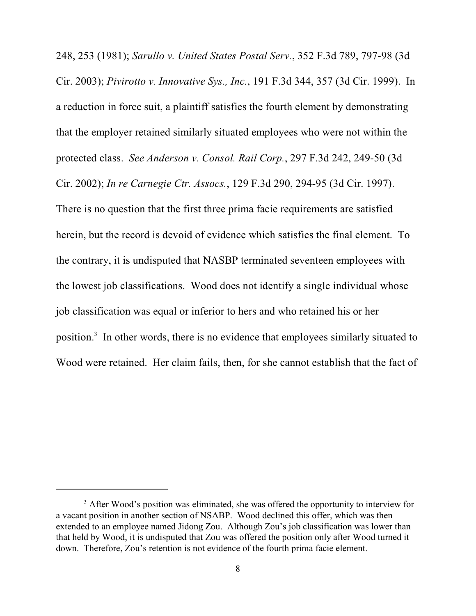248, 253 (1981); *Sarullo v. United States Postal Serv.*, 352 F.3d 789, 797-98 (3d Cir. 2003); *Pivirotto v. Innovative Sys., Inc.*, 191 F.3d 344, 357 (3d Cir. 1999). In a reduction in force suit, a plaintiff satisfies the fourth element by demonstrating that the employer retained similarly situated employees who were not within the protected class. *See Anderson v. Consol. Rail Corp.*, 297 F.3d 242, 249-50 (3d Cir. 2002); *In re Carnegie Ctr. Assocs.*, 129 F.3d 290, 294-95 (3d Cir. 1997). There is no question that the first three prima facie requirements are satisfied herein, but the record is devoid of evidence which satisfies the final element. To the contrary, it is undisputed that NASBP terminated seventeen employees with the lowest job classifications. Wood does not identify a single individual whose job classification was equal or inferior to hers and who retained his or her position.<sup>3</sup> In other words, there is no evidence that employees similarly situated to Wood were retained. Her claim fails, then, for she cannot establish that the fact of

<sup>&</sup>lt;sup>3</sup> After Wood's position was eliminated, she was offered the opportunity to interview for a vacant position in another section of NSABP. Wood declined this offer, which was then extended to an employee named Jidong Zou. Although Zou's job classification was lower than that held by Wood, it is undisputed that Zou was offered the position only after Wood turned it down. Therefore, Zou's retention is not evidence of the fourth prima facie element.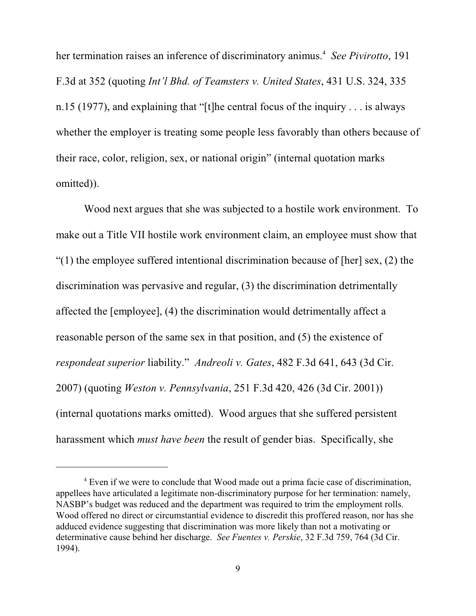her termination raises an inference of discriminatory animus.<sup>4</sup> See Pivirotto, 191 F.3d at 352 (quoting *Int'l Bhd. of Teamsters v. United States*, 431 U.S. 324, 335 n.15 (1977), and explaining that "[t]he central focus of the inquiry . . . is always whether the employer is treating some people less favorably than others because of their race, color, religion, sex, or national origin" (internal quotation marks omitted)).

Wood next argues that she was subjected to a hostile work environment. To make out a Title VII hostile work environment claim, an employee must show that "(1) the employee suffered intentional discrimination because of [her] sex,  $(2)$  the discrimination was pervasive and regular, (3) the discrimination detrimentally affected the [employee], (4) the discrimination would detrimentally affect a reasonable person of the same sex in that position, and (5) the existence of *respondeat superior* liability." *Andreoli v. Gates*, 482 F.3d 641, 643 (3d Cir. 2007) (quoting *Weston v. Pennsylvania*, 251 F.3d 420, 426 (3d Cir. 2001)) (internal quotations marks omitted). Wood argues that she suffered persistent harassment which *must have been* the result of gender bias. Specifically, she

<sup>&</sup>lt;sup>4</sup> Even if we were to conclude that Wood made out a prima facie case of discrimination, appellees have articulated a legitimate non-discriminatory purpose for her termination: namely, NASBP's budget was reduced and the department was required to trim the employment rolls. Wood offered no direct or circumstantial evidence to discredit this proffered reason, nor has she adduced evidence suggesting that discrimination was more likely than not a motivating or determinative cause behind her discharge. *See Fuentes v. Perskie*, 32 F.3d 759, 764 (3d Cir. 1994).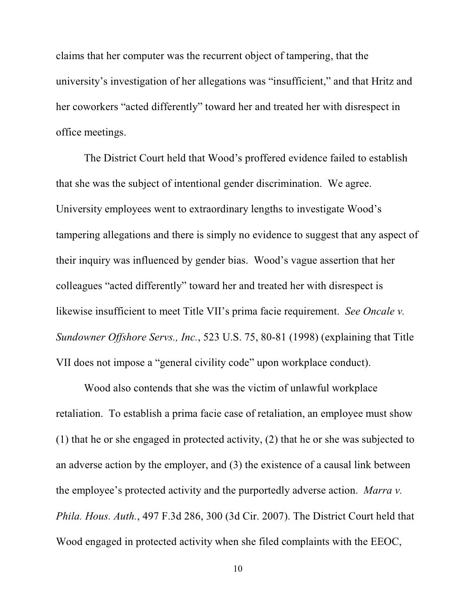claims that her computer was the recurrent object of tampering, that the university's investigation of her allegations was "insufficient," and that Hritz and her coworkers "acted differently" toward her and treated her with disrespect in office meetings.

The District Court held that Wood's proffered evidence failed to establish that she was the subject of intentional gender discrimination. We agree. University employees went to extraordinary lengths to investigate Wood's tampering allegations and there is simply no evidence to suggest that any aspect of their inquiry was influenced by gender bias. Wood's vague assertion that her colleagues "acted differently" toward her and treated her with disrespect is likewise insufficient to meet Title VII's prima facie requirement. *See Oncale v. Sundowner Offshore Servs., Inc.*, 523 U.S. 75, 80-81 (1998) (explaining that Title VII does not impose a "general civility code" upon workplace conduct).

Wood also contends that she was the victim of unlawful workplace retaliation. To establish a prima facie case of retaliation, an employee must show (1) that he or she engaged in protected activity, (2) that he or she was subjected to an adverse action by the employer, and (3) the existence of a causal link between the employee's protected activity and the purportedly adverse action. *Marra v. Phila. Hous. Auth.*, 497 F.3d 286, 300 (3d Cir. 2007). The District Court held that Wood engaged in protected activity when she filed complaints with the EEOC,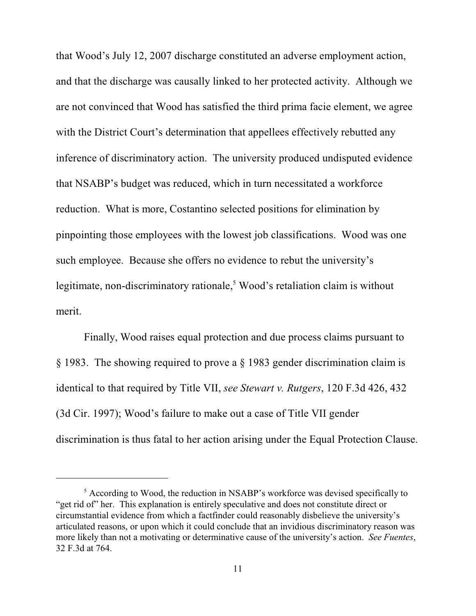that Wood's July 12, 2007 discharge constituted an adverse employment action, and that the discharge was causally linked to her protected activity. Although we are not convinced that Wood has satisfied the third prima facie element, we agree with the District Court's determination that appellees effectively rebutted any inference of discriminatory action. The university produced undisputed evidence that NSABP's budget was reduced, which in turn necessitated a workforce reduction. What is more, Costantino selected positions for elimination by pinpointing those employees with the lowest job classifications. Wood was one such employee. Because she offers no evidence to rebut the university's legitimate, non-discriminatory rationale, $5$  Wood's retaliation claim is without merit.

Finally, Wood raises equal protection and due process claims pursuant to § 1983. The showing required to prove a § 1983 gender discrimination claim is identical to that required by Title VII, *see Stewart v. Rutgers*, 120 F.3d 426, 432 (3d Cir. 1997); Wood's failure to make out a case of Title VII gender discrimination is thus fatal to her action arising under the Equal Protection Clause.

 $\frac{1}{2}$  According to Wood, the reduction in NSABP's workforce was devised specifically to "get rid of" her. This explanation is entirely speculative and does not constitute direct or circumstantial evidence from which a factfinder could reasonably disbelieve the university's articulated reasons, or upon which it could conclude that an invidious discriminatory reason was more likely than not a motivating or determinative cause of the university's action. *See Fuentes*, 32 F.3d at 764.